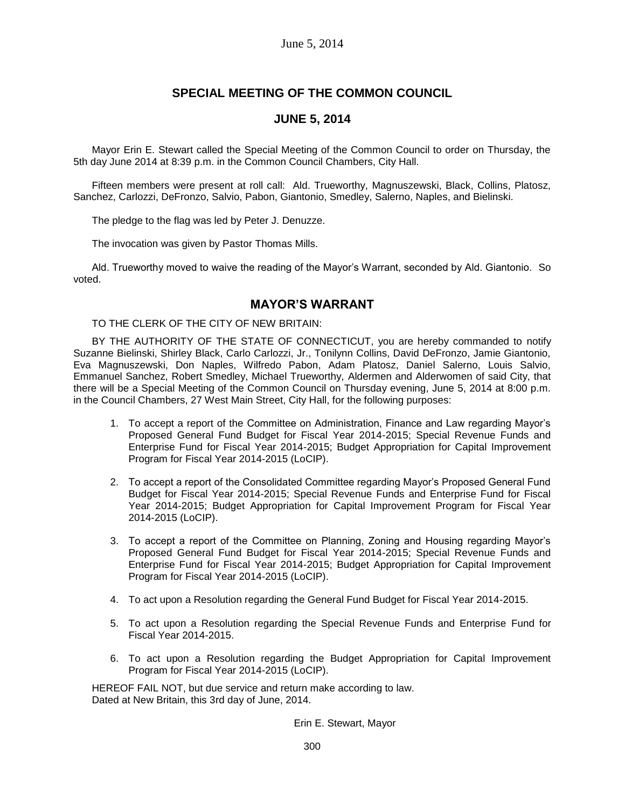# **SPECIAL MEETING OF THE COMMON COUNCIL**

## **JUNE 5, 2014**

Mayor Erin E. Stewart called the Special Meeting of the Common Council to order on Thursday, the 5th day June 2014 at 8:39 p.m. in the Common Council Chambers, City Hall.

Fifteen members were present at roll call: Ald. Trueworthy, Magnuszewski, Black, Collins, Platosz, Sanchez, Carlozzi, DeFronzo, Salvio, Pabon, Giantonio, Smedley, Salerno, Naples, and Bielinski.

The pledge to the flag was led by Peter J. Denuzze.

The invocation was given by Pastor Thomas Mills.

Ald. Trueworthy moved to waive the reading of the Mayor's Warrant, seconded by Ald. Giantonio. So voted.

### **MAYOR'S WARRANT**

TO THE CLERK OF THE CITY OF NEW BRITAIN:

BY THE AUTHORITY OF THE STATE OF CONNECTICUT, you are hereby commanded to notify Suzanne Bielinski, Shirley Black, Carlo Carlozzi, Jr., Tonilynn Collins, David DeFronzo, Jamie Giantonio, Eva Magnuszewski, Don Naples, Wilfredo Pabon, Adam Platosz, Daniel Salerno, Louis Salvio, Emmanuel Sanchez, Robert Smedley, Michael Trueworthy, Aldermen and Alderwomen of said City, that there will be a Special Meeting of the Common Council on Thursday evening, June 5, 2014 at 8:00 p.m. in the Council Chambers, 27 West Main Street, City Hall, for the following purposes:

- 1. To accept a report of the Committee on Administration, Finance and Law regarding Mayor's Proposed General Fund Budget for Fiscal Year 2014-2015; Special Revenue Funds and Enterprise Fund for Fiscal Year 2014-2015; Budget Appropriation for Capital Improvement Program for Fiscal Year 2014-2015 (LoCIP).
- 2. To accept a report of the Consolidated Committee regarding Mayor's Proposed General Fund Budget for Fiscal Year 2014-2015; Special Revenue Funds and Enterprise Fund for Fiscal Year 2014-2015; Budget Appropriation for Capital Improvement Program for Fiscal Year 2014-2015 (LoCIP).
- 3. To accept a report of the Committee on Planning, Zoning and Housing regarding Mayor's Proposed General Fund Budget for Fiscal Year 2014-2015; Special Revenue Funds and Enterprise Fund for Fiscal Year 2014-2015; Budget Appropriation for Capital Improvement Program for Fiscal Year 2014-2015 (LoCIP).
- 4. To act upon a Resolution regarding the General Fund Budget for Fiscal Year 2014-2015.
- 5. To act upon a Resolution regarding the Special Revenue Funds and Enterprise Fund for Fiscal Year 2014-2015.
- 6. To act upon a Resolution regarding the Budget Appropriation for Capital Improvement Program for Fiscal Year 2014-2015 (LoCIP).

HEREOF FAIL NOT, but due service and return make according to law. Dated at New Britain, this 3rd day of June, 2014.

Erin E. Stewart, Mayor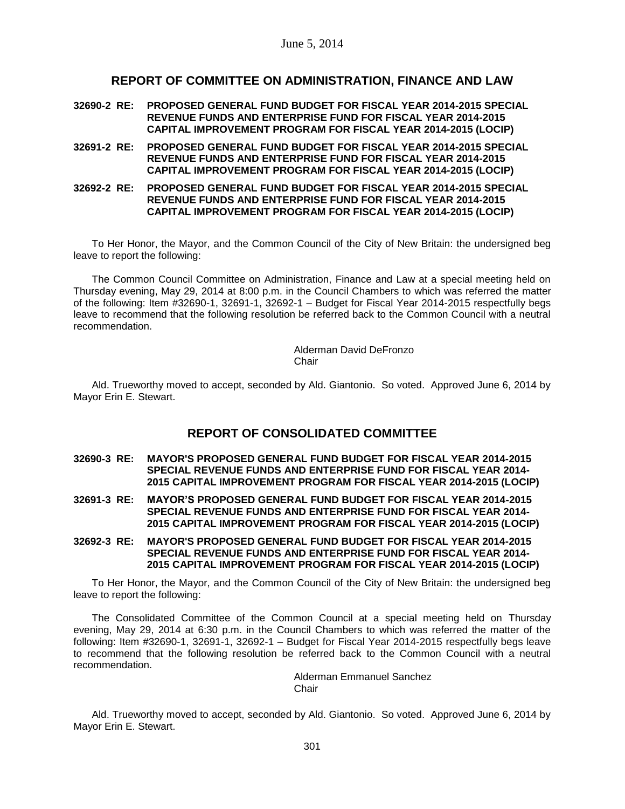## **REPORT OF COMMITTEE ON ADMINISTRATION, FINANCE AND LAW**

- **32690-2 RE: PROPOSED GENERAL FUND BUDGET FOR FISCAL YEAR 2014-2015 SPECIAL REVENUE FUNDS AND ENTERPRISE FUND FOR FISCAL YEAR 2014-2015 CAPITAL IMPROVEMENT PROGRAM FOR FISCAL YEAR 2014-2015 (LOCIP)**
- **32691-2 RE: PROPOSED GENERAL FUND BUDGET FOR FISCAL YEAR 2014-2015 SPECIAL REVENUE FUNDS AND ENTERPRISE FUND FOR FISCAL YEAR 2014-2015 CAPITAL IMPROVEMENT PROGRAM FOR FISCAL YEAR 2014-2015 (LOCIP)**
- **32692-2 RE: PROPOSED GENERAL FUND BUDGET FOR FISCAL YEAR 2014-2015 SPECIAL REVENUE FUNDS AND ENTERPRISE FUND FOR FISCAL YEAR 2014-2015 CAPITAL IMPROVEMENT PROGRAM FOR FISCAL YEAR 2014-2015 (LOCIP)**

To Her Honor, the Mayor, and the Common Council of the City of New Britain: the undersigned beg leave to report the following:

The Common Council Committee on Administration, Finance and Law at a special meeting held on Thursday evening, May 29, 2014 at 8:00 p.m. in the Council Chambers to which was referred the matter of the following: Item #32690-1, 32691-1, 32692-1 – Budget for Fiscal Year 2014-2015 respectfully begs leave to recommend that the following resolution be referred back to the Common Council with a neutral recommendation.

> Alderman David DeFronzo **Chair**

Ald. Trueworthy moved to accept, seconded by Ald. Giantonio. So voted. Approved June 6, 2014 by Mayor Erin E. Stewart.

# **REPORT OF CONSOLIDATED COMMITTEE**

- **32690-3 RE: MAYOR'S PROPOSED GENERAL FUND BUDGET FOR FISCAL YEAR 2014-2015 SPECIAL REVENUE FUNDS AND ENTERPRISE FUND FOR FISCAL YEAR 2014- 2015 CAPITAL IMPROVEMENT PROGRAM FOR FISCAL YEAR 2014-2015 (LOCIP)**
- **32691-3 RE: MAYOR'S PROPOSED GENERAL FUND BUDGET FOR FISCAL YEAR 2014-2015 SPECIAL REVENUE FUNDS AND ENTERPRISE FUND FOR FISCAL YEAR 2014- 2015 CAPITAL IMPROVEMENT PROGRAM FOR FISCAL YEAR 2014-2015 (LOCIP)**
- **32692-3 RE: MAYOR'S PROPOSED GENERAL FUND BUDGET FOR FISCAL YEAR 2014-2015 SPECIAL REVENUE FUNDS AND ENTERPRISE FUND FOR FISCAL YEAR 2014- 2015 CAPITAL IMPROVEMENT PROGRAM FOR FISCAL YEAR 2014-2015 (LOCIP)**

To Her Honor, the Mayor, and the Common Council of the City of New Britain: the undersigned beg leave to report the following:

The Consolidated Committee of the Common Council at a special meeting held on Thursday evening, May 29, 2014 at 6:30 p.m. in the Council Chambers to which was referred the matter of the following: Item #32690-1, 32691-1, 32692-1 – Budget for Fiscal Year 2014-2015 respectfully begs leave to recommend that the following resolution be referred back to the Common Council with a neutral recommendation.

> Alderman Emmanuel Sanchez **Chair**

Ald. Trueworthy moved to accept, seconded by Ald. Giantonio. So voted. Approved June 6, 2014 by Mayor Erin E. Stewart.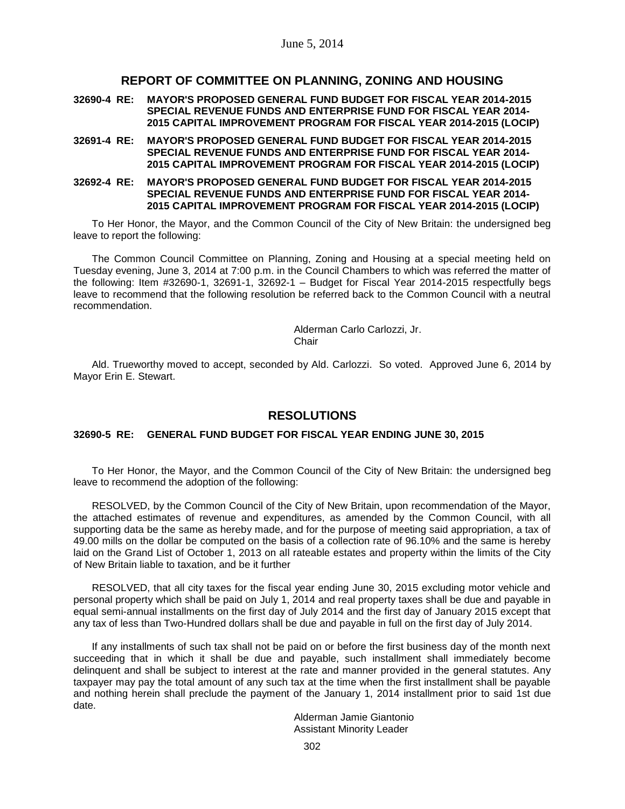### **REPORT OF COMMITTEE ON PLANNING, ZONING AND HOUSING**

**32690-4 RE: MAYOR'S PROPOSED GENERAL FUND BUDGET FOR FISCAL YEAR 2014-2015 SPECIAL REVENUE FUNDS AND ENTERPRISE FUND FOR FISCAL YEAR 2014- 2015 CAPITAL IMPROVEMENT PROGRAM FOR FISCAL YEAR 2014-2015 (LOCIP)**

- **32691-4 RE: MAYOR'S PROPOSED GENERAL FUND BUDGET FOR FISCAL YEAR 2014-2015 SPECIAL REVENUE FUNDS AND ENTERPRISE FUND FOR FISCAL YEAR 2014- 2015 CAPITAL IMPROVEMENT PROGRAM FOR FISCAL YEAR 2014-2015 (LOCIP)**
- **32692-4 RE: MAYOR'S PROPOSED GENERAL FUND BUDGET FOR FISCAL YEAR 2014-2015 SPECIAL REVENUE FUNDS AND ENTERPRISE FUND FOR FISCAL YEAR 2014- 2015 CAPITAL IMPROVEMENT PROGRAM FOR FISCAL YEAR 2014-2015 (LOCIP)**

To Her Honor, the Mayor, and the Common Council of the City of New Britain: the undersigned beg leave to report the following:

The Common Council Committee on Planning, Zoning and Housing at a special meeting held on Tuesday evening, June 3, 2014 at 7:00 p.m. in the Council Chambers to which was referred the matter of the following: Item #32690-1, 32691-1, 32692-1 – Budget for Fiscal Year 2014-2015 respectfully begs leave to recommend that the following resolution be referred back to the Common Council with a neutral recommendation.

> Alderman Carlo Carlozzi, Jr. Chair

Ald. Trueworthy moved to accept, seconded by Ald. Carlozzi. So voted. Approved June 6, 2014 by Mayor Erin E. Stewart.

## **RESOLUTIONS**

### **32690-5 RE: GENERAL FUND BUDGET FOR FISCAL YEAR ENDING JUNE 30, 2015**

To Her Honor, the Mayor, and the Common Council of the City of New Britain: the undersigned beg leave to recommend the adoption of the following:

RESOLVED, by the Common Council of the City of New Britain, upon recommendation of the Mayor, the attached estimates of revenue and expenditures, as amended by the Common Council, with all supporting data be the same as hereby made, and for the purpose of meeting said appropriation, a tax of 49.00 mills on the dollar be computed on the basis of a collection rate of 96.10% and the same is hereby laid on the Grand List of October 1, 2013 on all rateable estates and property within the limits of the City of New Britain liable to taxation, and be it further

RESOLVED, that all city taxes for the fiscal year ending June 30, 2015 excluding motor vehicle and personal property which shall be paid on July 1, 2014 and real property taxes shall be due and payable in equal semi-annual installments on the first day of July 2014 and the first day of January 2015 except that any tax of less than Two-Hundred dollars shall be due and payable in full on the first day of July 2014.

If any installments of such tax shall not be paid on or before the first business day of the month next succeeding that in which it shall be due and payable, such installment shall immediately become delinquent and shall be subject to interest at the rate and manner provided in the general statutes. Any taxpayer may pay the total amount of any such tax at the time when the first installment shall be payable and nothing herein shall preclude the payment of the January 1, 2014 installment prior to said 1st due date.

> Alderman Jamie Giantonio Assistant Minority Leader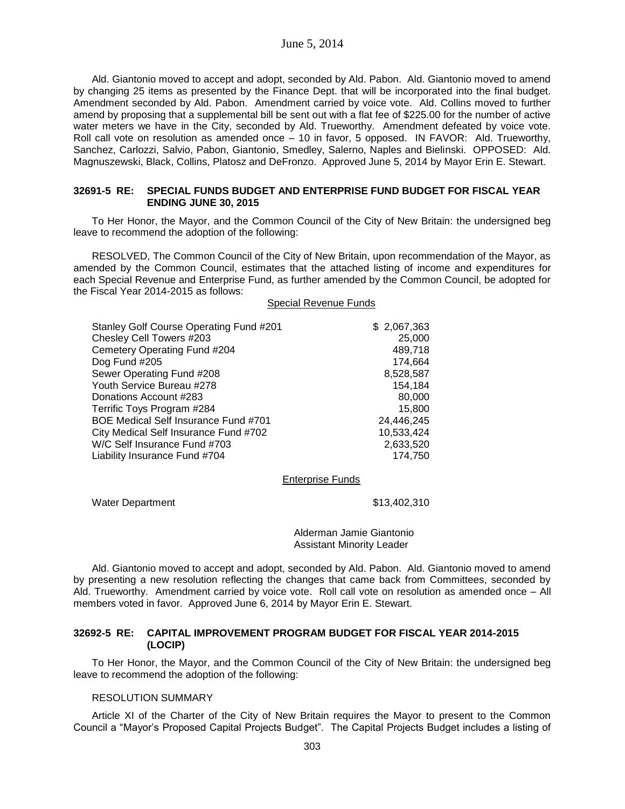### June 5, 2014

Ald. Giantonio moved to accept and adopt, seconded by Ald. Pabon. Ald. Giantonio moved to amend by changing 25 items as presented by the Finance Dept. that will be incorporated into the final budget. Amendment seconded by Ald. Pabon. Amendment carried by voice vote. Ald. Collins moved to further amend by proposing that a supplemental bill be sent out with a flat fee of \$225.00 for the number of active water meters we have in the City, seconded by Ald. Trueworthy. Amendment defeated by voice vote. Roll call vote on resolution as amended once – 10 in favor, 5 opposed. IN FAVOR: Ald. Trueworthy, Sanchez, Carlozzi, Salvio, Pabon, Giantonio, Smedley, Salerno, Naples and Bielinski. OPPOSED: Ald. Magnuszewski, Black, Collins, Platosz and DeFronzo. Approved June 5, 2014 by Mayor Erin E. Stewart.

### **32691-5 RE: SPECIAL FUNDS BUDGET AND ENTERPRISE FUND BUDGET FOR FISCAL YEAR ENDING JUNE 30, 2015**

To Her Honor, the Mayor, and the Common Council of the City of New Britain: the undersigned beg leave to recommend the adoption of the following:

RESOLVED, The Common Council of the City of New Britain, upon recommendation of the Mayor, as amended by the Common Council, estimates that the attached listing of income and expenditures for each Special Revenue and Enterprise Fund, as further amended by the Common Council, be adopted for the Fiscal Year 2014-2015 as follows:

#### Special Revenue Funds

| Stanley Golf Course Operating Fund #201     | \$2,067,363 |
|---------------------------------------------|-------------|
| Chesley Cell Towers #203                    | 25,000      |
| Cemetery Operating Fund #204                | 489,718     |
| Dog Fund #205                               | 174,664     |
| Sewer Operating Fund #208                   | 8,528,587   |
| Youth Service Bureau #278                   | 154,184     |
| Donations Account #283                      | 80,000      |
| Terrific Toys Program #284                  | 15,800      |
| <b>BOE Medical Self Insurance Fund #701</b> | 24,446,245  |
| City Medical Self Insurance Fund #702       | 10,533,424  |
| W/C Self Insurance Fund #703                | 2,633,520   |
| Liability Insurance Fund #704               | 174,750     |
|                                             |             |

#### Enterprise Funds

Water Department  $$13,402,310$ 

Alderman Jamie Giantonio Assistant Minority Leader

Ald. Giantonio moved to accept and adopt, seconded by Ald. Pabon. Ald. Giantonio moved to amend by presenting a new resolution reflecting the changes that came back from Committees, seconded by Ald. Trueworthy. Amendment carried by voice vote. Roll call vote on resolution as amended once – All members voted in favor. Approved June 6, 2014 by Mayor Erin E. Stewart.

#### **32692-5 RE: CAPITAL IMPROVEMENT PROGRAM BUDGET FOR FISCAL YEAR 2014-2015 (LOCIP)**

To Her Honor, the Mayor, and the Common Council of the City of New Britain: the undersigned beg leave to recommend the adoption of the following:

#### RESOLUTION SUMMARY

Article XI of the Charter of the City of New Britain requires the Mayor to present to the Common Council a "Mayor's Proposed Capital Projects Budget". The Capital Projects Budget includes a listing of